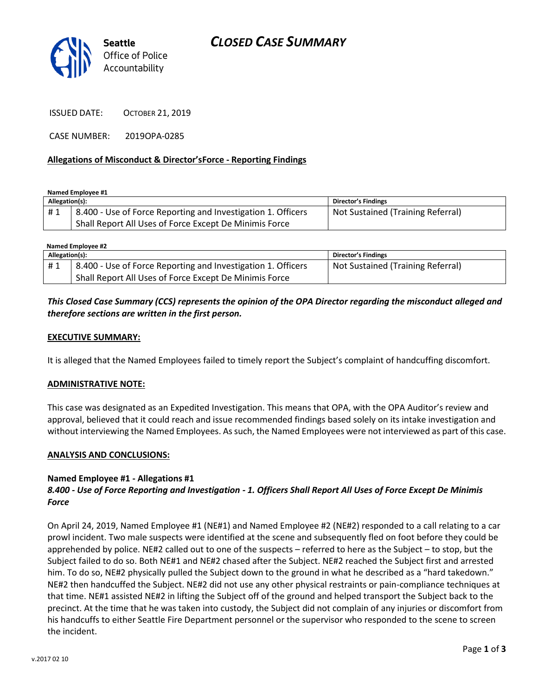

ISSUED DATE: OCTOBER 21, 2019

CASE NUMBER: 2019OPA-0285

#### **Allegations of Misconduct & Director'sForce - Reporting Findings**

**Named Employee #1**

| Allegation(s): |                                                              | <b>Director's Findings</b>        |
|----------------|--------------------------------------------------------------|-----------------------------------|
| #1             | 8.400 - Use of Force Reporting and Investigation 1. Officers | Not Sustained (Training Referral) |
|                | Shall Report All Uses of Force Except De Minimis Force       |                                   |

| Named Employee #2 |                                                              |                                   |  |
|-------------------|--------------------------------------------------------------|-----------------------------------|--|
| Allegation(s):    |                                                              | Director's Findings               |  |
| #1                | 8.400 - Use of Force Reporting and Investigation 1. Officers | Not Sustained (Training Referral) |  |
|                   | Shall Report All Uses of Force Except De Minimis Force       |                                   |  |

## *This Closed Case Summary (CCS) represents the opinion of the OPA Director regarding the misconduct alleged and therefore sections are written in the first person.*

#### **EXECUTIVE SUMMARY:**

It is alleged that the Named Employees failed to timely report the Subject's complaint of handcuffing discomfort.

#### **ADMINISTRATIVE NOTE:**

This case was designated as an Expedited Investigation. This means that OPA, with the OPA Auditor's review and approval, believed that it could reach and issue recommended findings based solely on its intake investigation and without interviewing the Named Employees. As such, the Named Employees were not interviewed as part of this case.

#### **ANALYSIS AND CONCLUSIONS:**

### **Named Employee #1 - Allegations #1**

## *8.400 - Use of Force Reporting and Investigation - 1. Officers Shall Report All Uses of Force Except De Minimis Force*

On April 24, 2019, Named Employee #1 (NE#1) and Named Employee #2 (NE#2) responded to a call relating to a car prowl incident. Two male suspects were identified at the scene and subsequently fled on foot before they could be apprehended by police. NE#2 called out to one of the suspects – referred to here as the Subject – to stop, but the Subject failed to do so. Both NE#1 and NE#2 chased after the Subject. NE#2 reached the Subject first and arrested him. To do so, NE#2 physically pulled the Subject down to the ground in what he described as a "hard takedown." NE#2 then handcuffed the Subject. NE#2 did not use any other physical restraints or pain-compliance techniques at that time. NE#1 assisted NE#2 in lifting the Subject off of the ground and helped transport the Subject back to the precinct. At the time that he was taken into custody, the Subject did not complain of any injuries or discomfort from his handcuffs to either Seattle Fire Department personnel or the supervisor who responded to the scene to screen the incident.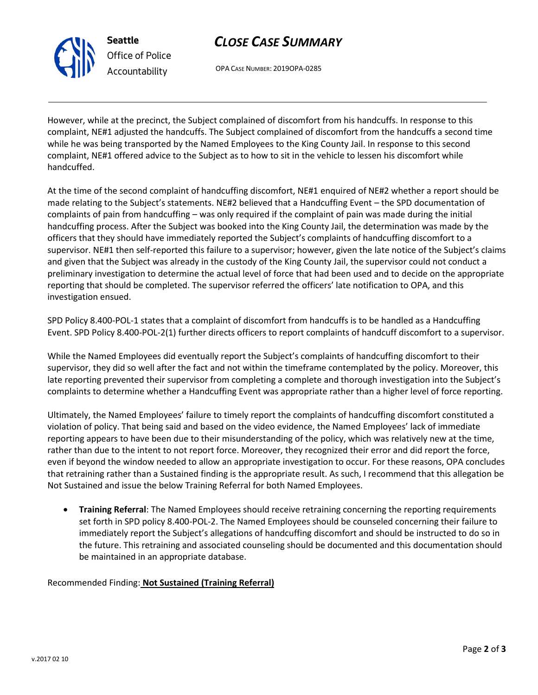

**Seattle** *Office of Police Accountability*

# *CLOSE CASE SUMMARY*

OPA CASE NUMBER: 2019OPA-0285

However, while at the precinct, the Subject complained of discomfort from his handcuffs. In response to this complaint, NE#1 adjusted the handcuffs. The Subject complained of discomfort from the handcuffs a second time while he was being transported by the Named Employees to the King County Jail. In response to this second complaint, NE#1 offered advice to the Subject as to how to sit in the vehicle to lessen his discomfort while handcuffed.

At the time of the second complaint of handcuffing discomfort, NE#1 enquired of NE#2 whether a report should be made relating to the Subject's statements. NE#2 believed that a Handcuffing Event – the SPD documentation of complaints of pain from handcuffing – was only required if the complaint of pain was made during the initial handcuffing process. After the Subject was booked into the King County Jail, the determination was made by the officers that they should have immediately reported the Subject's complaints of handcuffing discomfort to a supervisor. NE#1 then self-reported this failure to a supervisor; however, given the late notice of the Subject's claims and given that the Subject was already in the custody of the King County Jail, the supervisor could not conduct a preliminary investigation to determine the actual level of force that had been used and to decide on the appropriate reporting that should be completed. The supervisor referred the officers' late notification to OPA, and this investigation ensued.

SPD Policy 8.400-POL-1 states that a complaint of discomfort from handcuffs is to be handled as a Handcuffing Event. SPD Policy 8.400-POL-2(1) further directs officers to report complaints of handcuff discomfort to a supervisor.

While the Named Employees did eventually report the Subject's complaints of handcuffing discomfort to their supervisor, they did so well after the fact and not within the timeframe contemplated by the policy. Moreover, this late reporting prevented their supervisor from completing a complete and thorough investigation into the Subject's complaints to determine whether a Handcuffing Event was appropriate rather than a higher level of force reporting.

Ultimately, the Named Employees' failure to timely report the complaints of handcuffing discomfort constituted a violation of policy. That being said and based on the video evidence, the Named Employees' lack of immediate reporting appears to have been due to their misunderstanding of the policy, which was relatively new at the time, rather than due to the intent to not report force. Moreover, they recognized their error and did report the force, even if beyond the window needed to allow an appropriate investigation to occur. For these reasons, OPA concludes that retraining rather than a Sustained finding is the appropriate result. As such, I recommend that this allegation be Not Sustained and issue the below Training Referral for both Named Employees.

• **Training Referral**: The Named Employees should receive retraining concerning the reporting requirements set forth in SPD policy 8.400-POL-2. The Named Employees should be counseled concerning their failure to immediately report the Subject's allegations of handcuffing discomfort and should be instructed to do so in the future. This retraining and associated counseling should be documented and this documentation should be maintained in an appropriate database.

## Recommended Finding: **Not Sustained (Training Referral)**